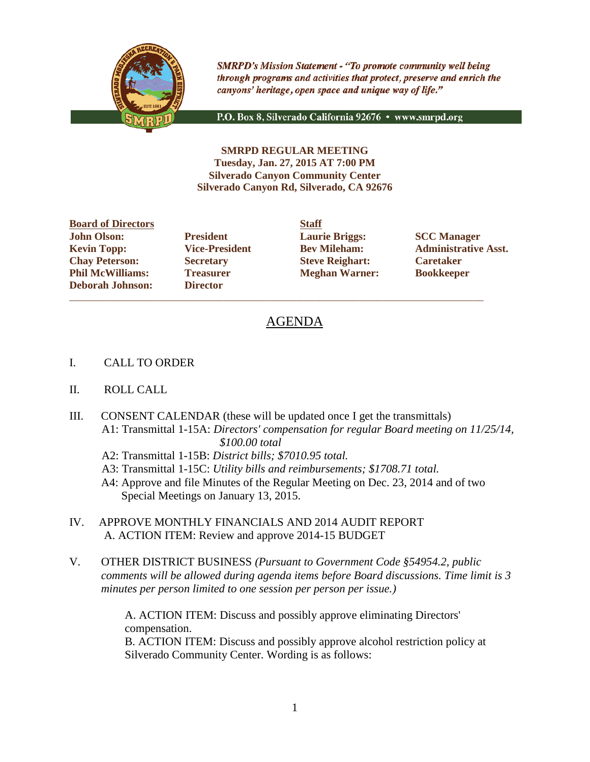

**SMRPD's Mission Statement - "To promote community well being** through programs and activities that protect, preserve and enrich the canyons' heritage, open space and unique way of life."

P.O. Box 8, Silverado California 92676 · www.smrpd.org

**SMRPD REGULAR MEETING Tuesday, Jan. 27, 2015 AT 7:00 PM Silverado Canyon Community Center Silverado Canyon Rd, Silverado, CA 92676**

**Board of Directors Staff John Olson: President Laurie Briggs: SCC Manager Chay Peterson: Secretary Steve Reighart: Caretaker Phil McWilliams: Treasurer Meghan Warner: Bookkeeper Deborah Johnson: Director**

\_\_\_\_\_\_\_\_\_\_\_\_\_\_\_\_\_\_\_\_\_\_\_\_\_\_\_\_\_\_\_\_\_\_\_\_\_\_\_\_\_\_\_\_\_\_\_\_\_\_\_\_\_\_\_\_\_\_\_\_\_\_\_\_\_\_\_\_\_\_\_\_\_\_\_\_\_\_\_\_\_\_\_\_\_\_

**Kevin Topp: Vice-President Bev Mileham: Administrative Asst.**

# AGENDA

- I. CALL TO ORDER
- II. ROLL CALL
- III. CONSENT CALENDAR (these will be updated once I get the transmittals) A1: Transmittal 1-15A: *Directors' compensation for regular Board meeting on 11/25/14, \$100.00 total*
	- A2: Transmittal 1-15B: *District bills; \$7010.95 total.*
	- A3: Transmittal 1-15C: *Utility bills and reimbursements; \$1708.71 total.*
	- A4: Approve and file Minutes of the Regular Meeting on Dec. 23, 2014 and of two Special Meetings on January 13, 2015.
- IV. APPROVE MONTHLY FINANCIALS AND 2014 AUDIT REPORT A. ACTION ITEM: Review and approve 2014-15 BUDGET
- V. OTHER DISTRICT BUSINESS *(Pursuant to Government Code §54954.2, public comments will be allowed during agenda items before Board discussions. Time limit is 3 minutes per person limited to one session per person per issue.)*

A. ACTION ITEM: Discuss and possibly approve eliminating Directors' compensation.

 B. ACTION ITEM: Discuss and possibly approve alcohol restriction policy at Silverado Community Center. Wording is as follows: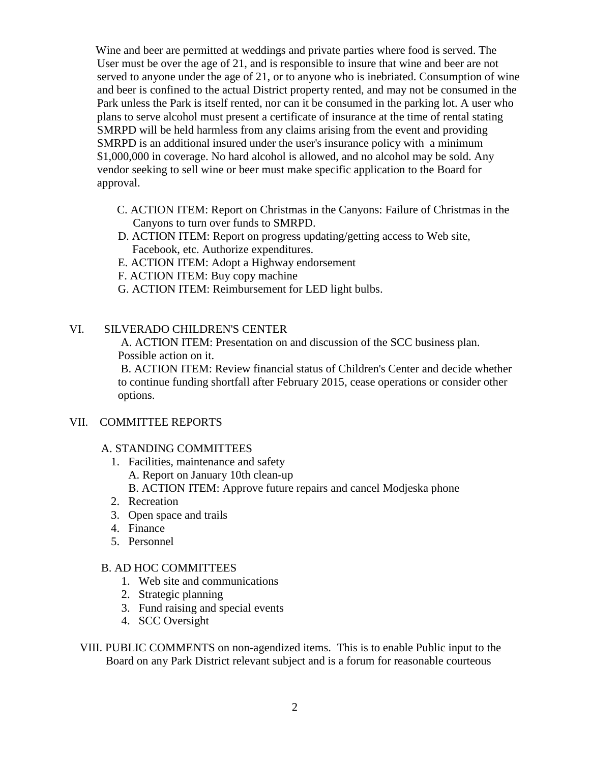Wine and beer are permitted at weddings and private parties where food is served. The User must be over the age of 21, and is responsible to insure that wine and beer are not served to anyone under the age of 21, or to anyone who is inebriated. Consumption of wine and beer is confined to the actual District property rented, and may not be consumed in the Park unless the Park is itself rented, nor can it be consumed in the parking lot. A user who plans to serve alcohol must present a certificate of insurance at the time of rental stating SMRPD will be held harmless from any claims arising from the event and providing SMRPD is an additional insured under the user's insurance policy with a minimum \$1,000,000 in coverage. No hard alcohol is allowed, and no alcohol may be sold. Any vendor seeking to sell wine or beer must make specific application to the Board for approval.

- C. ACTION ITEM: Report on Christmas in the Canyons: Failure of Christmas in the Canyons to turn over funds to SMRPD.
- D. ACTION ITEM: Report on progress updating/getting access to Web site, Facebook, etc. Authorize expenditures.
- E. ACTION ITEM: Adopt a Highway endorsement
- F. ACTION ITEM: Buy copy machine
- G. ACTION ITEM: Reimbursement for LED light bulbs.

### VI. SILVERADO CHILDREN'S CENTER

A. ACTION ITEM: Presentation on and discussion of the SCC business plan. Possible action on it.

B. ACTION ITEM: Review financial status of Children's Center and decide whether to continue funding shortfall after February 2015, cease operations or consider other options.

### VII. COMMITTEE REPORTS

### A. STANDING COMMITTEES

- 1. Facilities, maintenance and safety A. Report on January 10th clean-up B. ACTION ITEM: Approve future repairs and cancel Modjeska phone
- 2. Recreation
- 3. Open space and trails
- 4. Finance
- 5. Personnel

### B. AD HOC COMMITTEES

- 1. Web site and communications
- 2. Strategic planning
- 3. Fund raising and special events
- 4. SCC Oversight

VIII. PUBLIC COMMENTS on non-agendized items. This is to enable Public input to the Board on any Park District relevant subject and is a forum for reasonable courteous